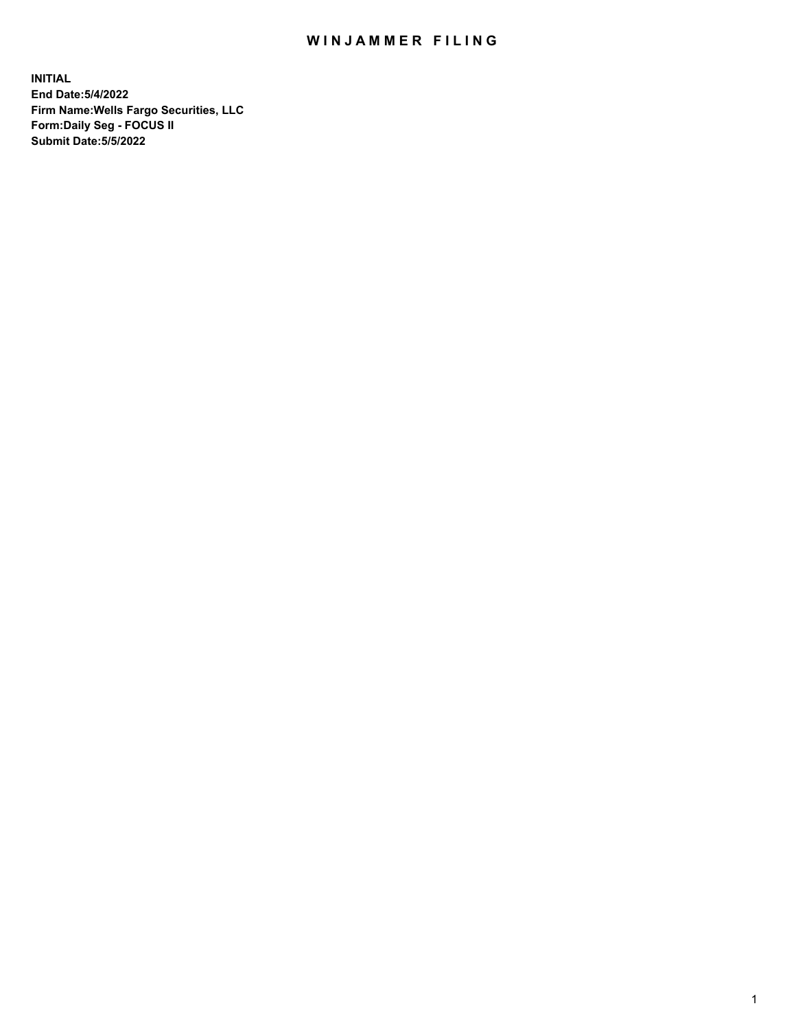## WIN JAMMER FILING

**INITIAL End Date:5/4/2022 Firm Name:Wells Fargo Securities, LLC Form:Daily Seg - FOCUS II Submit Date:5/5/2022**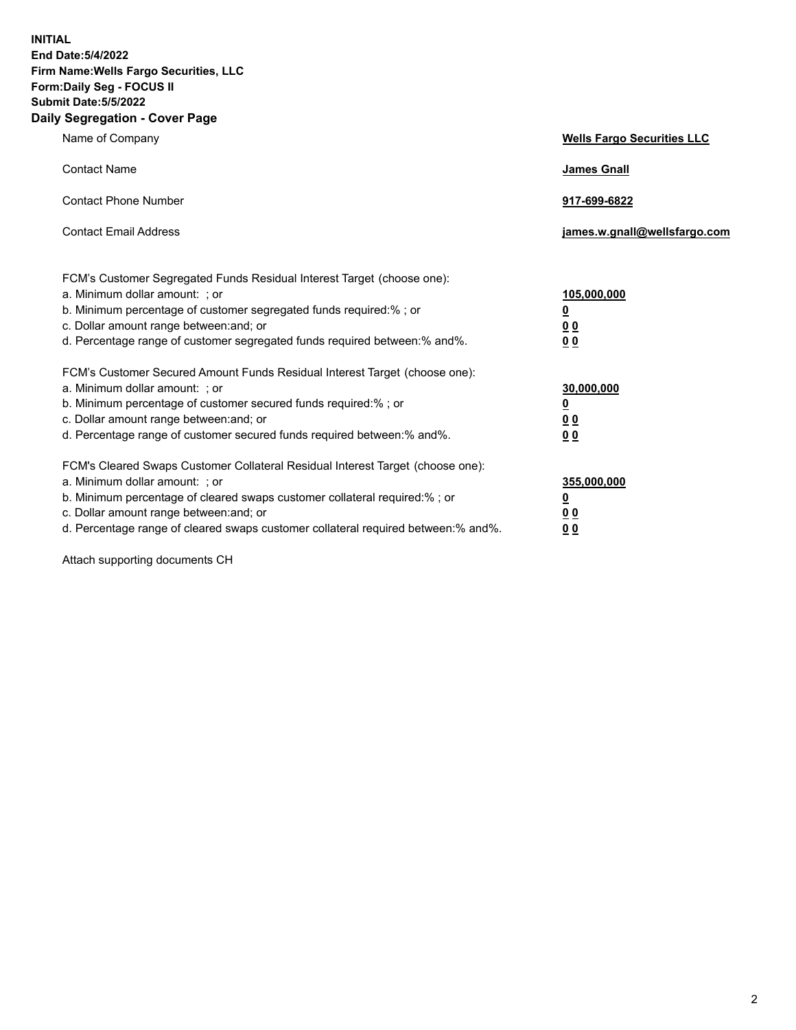**INITIAL End Date:5/4/2022 Firm Name:Wells Fargo Securities, LLC Form:Daily Seg - FOCUS II Submit Date:5/5/2022 Daily Segregation - Cover Page**

| Name of Company                                                                                                  | <b>Wells Fargo Securities LLC</b> |
|------------------------------------------------------------------------------------------------------------------|-----------------------------------|
| <b>Contact Name</b>                                                                                              | <b>James Gnall</b>                |
|                                                                                                                  |                                   |
| <b>Contact Phone Number</b>                                                                                      | 917-699-6822                      |
|                                                                                                                  |                                   |
| <b>Contact Email Address</b>                                                                                     | james.w.gnall@wellsfargo.com      |
|                                                                                                                  |                                   |
| FCM's Customer Segregated Funds Residual Interest Target (choose one):                                           |                                   |
| a. Minimum dollar amount: ; or                                                                                   | 105,000,000                       |
| b. Minimum percentage of customer segregated funds required:% ; or                                               | <u>0</u>                          |
| c. Dollar amount range between: and; or                                                                          | 00                                |
| d. Percentage range of customer segregated funds required between:% and%.                                        | 00                                |
| FCM's Customer Secured Amount Funds Residual Interest Target (choose one):                                       |                                   |
| a. Minimum dollar amount: ; or                                                                                   | 30,000,000                        |
| b. Minimum percentage of customer secured funds required:%; or                                                   | <u>0</u>                          |
| c. Dollar amount range between: and; or                                                                          | 00                                |
| d. Percentage range of customer secured funds required between: % and %.                                         | 0 <sub>0</sub>                    |
|                                                                                                                  |                                   |
| FCM's Cleared Swaps Customer Collateral Residual Interest Target (choose one):<br>a. Minimum dollar amount: ; or | 355,000,000                       |
| b. Minimum percentage of cleared swaps customer collateral required:% ; or                                       | <u>0</u>                          |
| c. Dollar amount range between: and; or                                                                          | <u>00</u>                         |
| d. Percentage range of cleared swaps customer collateral required between:% and%.                                | 00                                |
|                                                                                                                  |                                   |

Attach supporting documents CH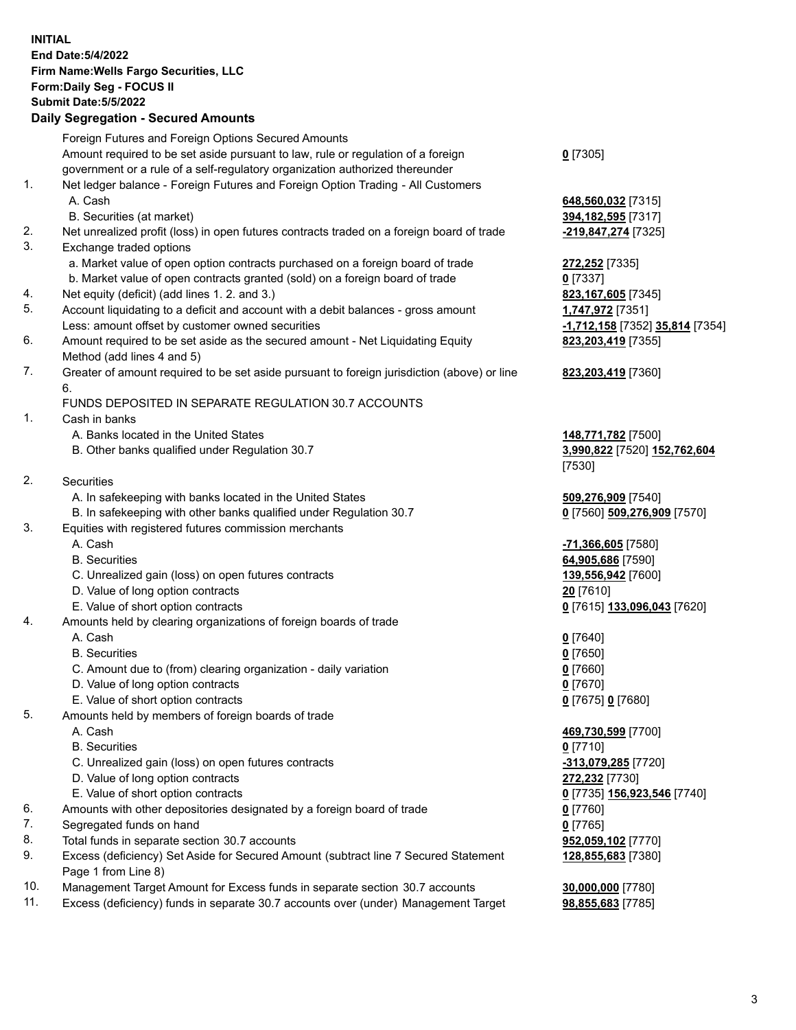**INITIAL End Date:5/4/2022 Firm Name:Wells Fargo Securities, LLC Form:Daily Seg - FOCUS II Submit Date:5/5/2022 Daily Segregation - Secured Amounts** Foreign Futures and Foreign Options Secured Amounts Amount required to be set aside pursuant to law, rule or regulation of a foreign government or a rule of a self-regulatory organization authorized thereunder 1. Net ledger balance - Foreign Futures and Foreign Option Trading - All Customers A. Cash **648,560,032** [7315] B. Securities (at market) **394,182,595** [7317] 2. Net unrealized profit (loss) in open futures contracts traded on a foreign board of trade **-219,847,274** [7325] 3. Exchange traded options a. Market value of open option contracts purchased on a foreign board of trade **272,252** [7335] b. Market value of open contracts granted (sold) on a foreign board of trade **0** [7337] 4. Net equity (deficit) (add lines 1. 2. and 3.) **823,167,605** [7345] 5. Account liquidating to a deficit and account with a debit balances - gross amount **1,747,972** [7351] Less: amount offset by customer owned securities **-1,712,158** [7352] **35,814** [7354] 6. Amount required to be set aside as the secured amount - Net Liquidating Equity Method (add lines 4 and 5) 7. Greater of amount required to be set aside pursuant to foreign jurisdiction (above) or line 6. FUNDS DEPOSITED IN SEPARATE REGULATION 30.7 ACCOUNTS 1. Cash in banks A. Banks located in the United States **148,771,782** [7500] B. Other banks qualified under Regulation 30.7 **3,990,822** [7520] **152,762,604** 2. Securities A. In safekeeping with banks located in the United States **509,276,909** [7540] B. In safekeeping with other banks qualified under Regulation 30.7 **0** [7560] **509,276,909** [7570] 3. Equities with registered futures commission merchants A. Cash **-71,366,605** [7580] B. Securities **64,905,686** [7590] C. Unrealized gain (loss) on open futures contracts **139,556,942** [7600] D. Value of long option contracts **20** [7610] E. Value of short option contracts **0** [7615] **133,096,043** [7620] 4. Amounts held by clearing organizations of foreign boards of trade

## A. Cash **0** [7640]

- B. Securities **0** [7650]
- C. Amount due to (from) clearing organization daily variation **0** [7660]
- D. Value of long option contracts **0** [7670]
- E. Value of short option contracts **0** [7675] **0** [7680]
- 5. Amounts held by members of foreign boards of trade
	-
	- B. Securities **0** [7710]
	- C. Unrealized gain (loss) on open futures contracts **-313,079,285** [7720]
	- D. Value of long option contracts **272,232** [7730]
	- E. Value of short option contracts **0** [7735] **156,923,546** [7740]
- 6. Amounts with other depositories designated by a foreign board of trade **0** [7760]
- 7. Segregated funds on hand **0** [7765]
- 8. Total funds in separate section 30.7 accounts **952,059,102** [7770]
- 9. Excess (deficiency) Set Aside for Secured Amount (subtract line 7 Secured Statement Page 1 from Line 8)
- 10. Management Target Amount for Excess funds in separate section 30.7 accounts **30,000,000** [7780]
- 11. Excess (deficiency) funds in separate 30.7 accounts over (under) Management Target **98,855,683** [7785]

**0** [7305]

**823,203,419** [7355]

## **823,203,419** [7360]

[7530]

 A. Cash **469,730,599** [7700] **128,855,683** [7380]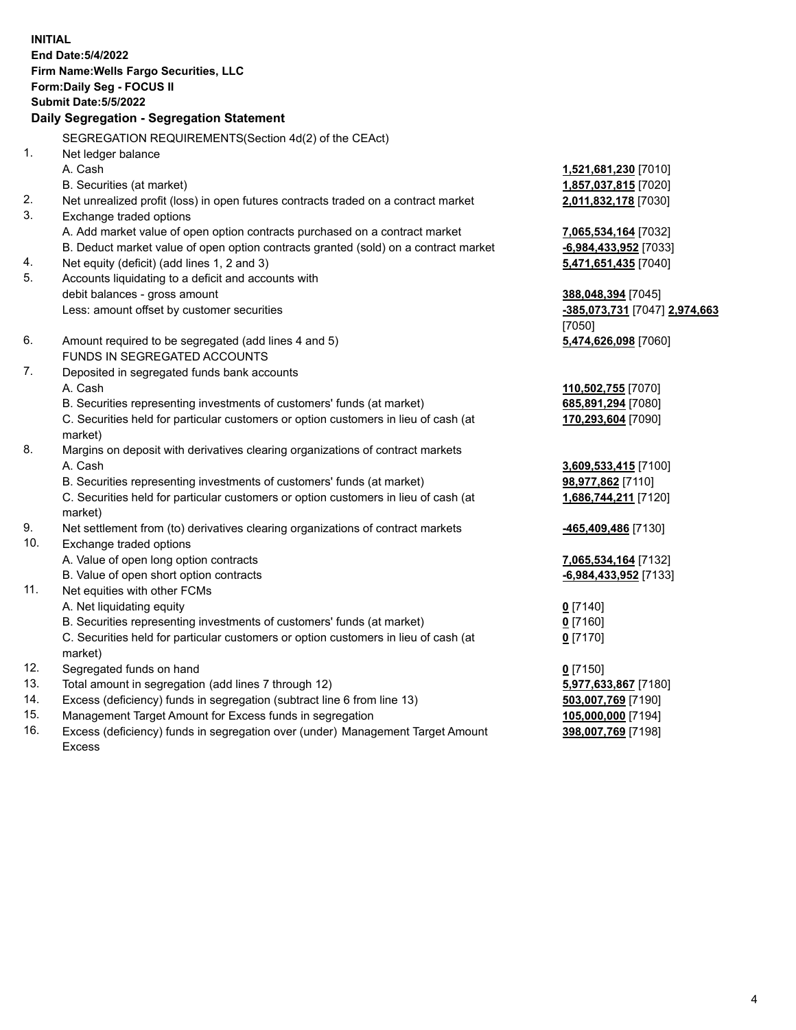**INITIAL End Date:5/4/2022 Firm Name:Wells Fargo Securities, LLC Form:Daily Seg - FOCUS II Submit Date:5/5/2022 Daily Segregation - Segregation Statement** SEGREGATION REQUIREMENTS(Section 4d(2) of the CEAct) 1. Net ledger balance A. Cash **1,521,681,230** [7010] B. Securities (at market) **1,857,037,815** [7020] 2. Net unrealized profit (loss) in open futures contracts traded on a contract market **2,011,832,178** [7030] 3. Exchange traded options A. Add market value of open option contracts purchased on a contract market **7,065,534,164** [7032] B. Deduct market value of open option contracts granted (sold) on a contract market **-6,984,433,952** [7033] 4. Net equity (deficit) (add lines 1, 2 and 3) **5,471,651,435** [7040] 5. Accounts liquidating to a deficit and accounts with debit balances - gross amount **388,048,394** [7045] Less: amount offset by customer securities **-385,073,731** [7047] **2,974,663** [7050] 6. Amount required to be segregated (add lines 4 and 5) **5,474,626,098** [7060] FUNDS IN SEGREGATED ACCOUNTS 7. Deposited in segregated funds bank accounts A. Cash **110,502,755** [7070] B. Securities representing investments of customers' funds (at market) **685,891,294** [7080] C. Securities held for particular customers or option customers in lieu of cash (at market) **170,293,604** [7090] 8. Margins on deposit with derivatives clearing organizations of contract markets A. Cash **3,609,533,415** [7100] B. Securities representing investments of customers' funds (at market) **98,977,862** [7110] C. Securities held for particular customers or option customers in lieu of cash (at market) **1,686,744,211** [7120] 9. Net settlement from (to) derivatives clearing organizations of contract markets **-465,409,486** [7130] 10. Exchange traded options A. Value of open long option contracts **7,065,534,164** [7132] B. Value of open short option contracts **-6,984,433,952** [7133] 11. Net equities with other FCMs A. Net liquidating equity **0** [7140] B. Securities representing investments of customers' funds (at market) **0** [7160] C. Securities held for particular customers or option customers in lieu of cash (at market) **0** [7170] 12. Segregated funds on hand **0** [7150] 13. Total amount in segregation (add lines 7 through 12) **5,977,633,867** [7180] 14. Excess (deficiency) funds in segregation (subtract line 6 from line 13) **503,007,769** [7190] 15. Management Target Amount for Excess funds in segregation **105,000,000** [7194] **398,007,769** [7198]

16. Excess (deficiency) funds in segregation over (under) Management Target Amount Excess